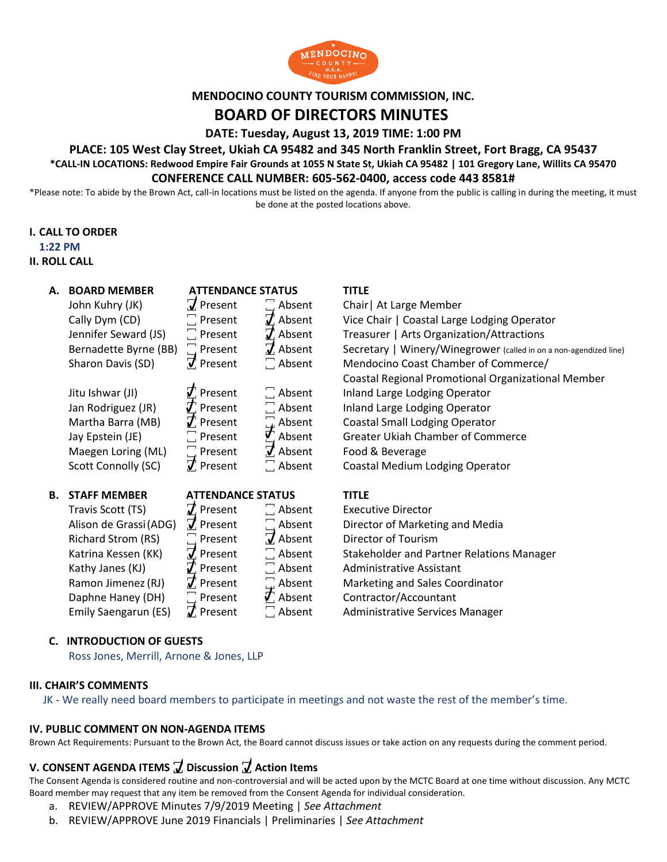

# **MENDOCINO COUNTY TOURISM COMMISSION, INC. BOARD OF DIRECTORS MINUTES**

**DATE: Tuesday, August 13, 2019 TIME: 1:00 PM**

### **PLACE: 105 West Clay Street, Ukiah CA 95482 and 345 North Franklin Street, Fort Bragg, CA 95437 \*CALL-IN LOCATIONS: Redwood Empire Fair Grounds at 1055 N State St, Ukiah CA 95482 | 101 Gregory Lane, Willits CA 95470 CONFERENCE CALL NUMBER: 605-562-0400, access code 443 8581#**

\*Please note: To abide by the Brown Act, call-in locations must be listed on the agenda. If anyone from the public is calling in during the meeting, it must be done at the posted locations above.

#### **I. CALL TO ORDER**

**1:22 PM**

#### **II. ROLL CALL**

| А. | <b>BOARD MEMBER</b>    | <b>ATTENDANCE STATUS</b> |                            | <b>TITLE</b>                                                      |
|----|------------------------|--------------------------|----------------------------|-------------------------------------------------------------------|
|    | John Kuhry (JK)        | $\overline{J}$ Present   | $\Box$ Absent              | Chair   At Large Member                                           |
|    | Cally Dym (CD)         | $\Box$ Present           | $\mathcal{I}$ Absent       | Vice Chair   Coastal Large Lodging Operator                       |
|    | Jennifer Seward (JS)   | $\Box$ Present           | $\vec{J}$ Absent           | Treasurer   Arts Organization/Attractions                         |
|    | Bernadette Byrne (BB)  | $\Box$ Present           | $\vec{J}$ Absent           | Secretary   Winery/Winegrower (called in on a non-agendized line) |
|    | Sharon Davis (SD)      | $\vec{J}$ Present        | $\Box$ Absent              | Mendocino Coast Chamber of Commerce/                              |
|    |                        |                          |                            | Coastal Regional Promotional Organizational Member                |
|    |                        |                          |                            |                                                                   |
|    | Jitu Ishwar (JI)       | $\mathcal{J}$ Present    | $\Box$ Absent              | Inland Large Lodging Operator                                     |
|    | Jan Rodriguez (JR)     | $J$ Present              | $\Box$ Absent              | Inland Large Lodging Operator                                     |
|    | Martha Barra (MB)      | $\mathcal{J}$ Present    | コ<br>Mabsent<br>Mabsent    | <b>Coastal Small Lodging Operator</b>                             |
|    | Jay Epstein (JE)       | $\Box$ Present           |                            | <b>Greater Ukiah Chamber of Commerce</b>                          |
|    | Maegen Loring (ML)     | $\Box$ Present           | $\vec{J}$ Absent           | Food & Beverage                                                   |
|    | Scott Connolly (SC)    | $\vec{J}$ Present        | $\Box$ Absent              | Coastal Medium Lodging Operator                                   |
|    |                        |                          |                            |                                                                   |
| В. | <b>STAFF MEMBER</b>    | <b>ATTENDANCE STATUS</b> |                            | <b>TITLE</b>                                                      |
|    | Travis Scott (TS)      | $\mathbf Z$ Present      | $\Box$ Absent              | <b>Executive Director</b>                                         |
|    | Alison de Grassi (ADG) | $\overline{J}$ Present   | $\Box$ Absent              | Director of Marketing and Media                                   |
|    | Richard Strom (RS)     | $\Box$ Present           | $\overline{J}$ Absent      | Director of Tourism                                               |
|    | Katrina Kessen (KK)    | $\vec{J}$ Present        | $\Box$ Absent              | Stakeholder and Partner Relations Manager                         |
|    | Kathy Janes (KJ)       | $\mathcal{J}$ Present    | $\Box$ Absent              | <b>Administrative Assistant</b>                                   |
|    | Ramon Jimenez (RJ)     | $\vec{J}$ Present        | $\square$ Absent           | Marketing and Sales Coordinator                                   |
|    | Daphne Haney (DH)      | $\Box$ Present           | $\vec{\mathcal{T}}$ Absent | Contractor/Accountant                                             |
|    | Emily Saengarun (ES)   | $\vec{J}$ Present        | $\Box$ Absent              | Administrative Services Manager                                   |

#### **C. INTRODUCTION OF GUESTS**

Ross Jones, Merrill, Arnone & Jones, LLP

#### **III. CHAIR'S COMMENTS**

JK - We really need board members to participate in meetings and not waste the rest of the member's time.

#### **IV. PUBLIC COMMENT ON NON-AGENDA ITEMS**

Brown Act Requirements: Pursuant to the Brown Act, the Board cannot discuss issues or take action on any requests during the comment period.

### **V. CONSENT AGENDA ITEMS ꙱ Discussion ꙱ Action Items**

The Consent Agenda is considered routine and non-controversial and will be acted upon by the MCTC Board at one time without discussion. Any MCTC Board member may request that any item be removed from the Consent Agenda for individual consideration.

- a. REVIEW/APPROVE Minutes 7/9/2019 Meeting | *See Attachment*
- b. REVIEW/APPROVE June 2019 Financials | Preliminaries | *See Attachment*